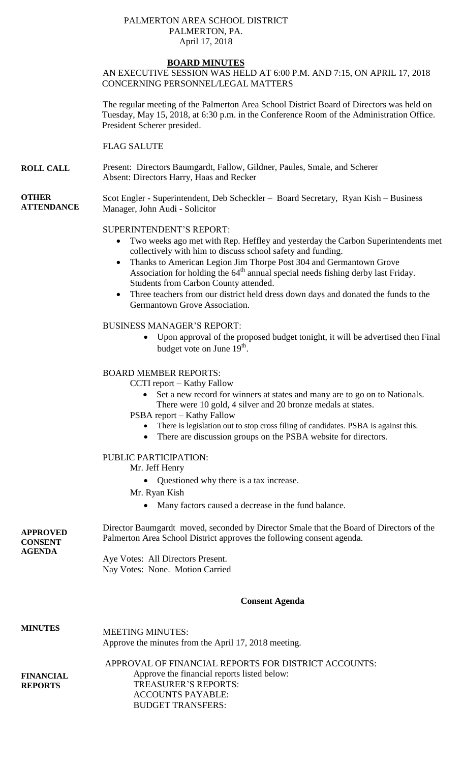# PALMERTON AREA SCHOOL DISTRICT PALMERTON, PA. April 17, 2018

# **BOARD MINUTES**

AN EXECUTIVE SESSION WAS HELD AT 6:00 P.M. AND 7:15, ON APRIL 17, 2018 CONCERNING PERSONNEL/LEGAL MATTERS

The regular meeting of the Palmerton Area School District Board of Directors was held on Tuesday, May 15, 2018, at 6:30 p.m. in the Conference Room of the Administration Office. President Scherer presided.

FLAG SALUTE

**ROLL CALL** Present: Directors Baumgardt, Fallow, Gildner, Paules, Smale, and Scherer Absent: Directors Harry, Haas and Recker

**OTHER ATTENDANCE** Scot Engler - Superintendent, Deb Scheckler – Board Secretary, Ryan Kish – Business Manager, John Audi - Solicitor

### SUPERINTENDENT'S REPORT:

- Two weeks ago met with Rep. Heffley and yesterday the Carbon Superintendents met collectively with him to discuss school safety and funding.
- Thanks to American Legion Jim Thorpe Post 304 and Germantown Grove Association for holding the  $64<sup>th</sup>$  annual special needs fishing derby last Friday. Students from Carbon County attended.
- Three teachers from our district held dress down days and donated the funds to the Germantown Grove Association.

### BUSINESS MANAGER'S REPORT:

 Upon approval of the proposed budget tonight, it will be advertised then Final budget vote on June  $19<sup>th</sup>$ .

### BOARD MEMBER REPORTS:

CCTI report – Kathy Fallow

- Set a new record for winners at states and many are to go on to Nationals.
	- There were 10 gold, 4 silver and 20 bronze medals at states.
- PSBA report Kathy Fallow
	- There is legislation out to stop cross filing of candidates. PSBA is against this.
	- There are discussion groups on the PSBA website for directors.

# PUBLIC PARTICIPATION:

Mr. Jeff Henry

- Questioned why there is a tax increase.
- Mr. Ryan Kish
	- Many factors caused a decrease in the fund balance.

**APPROVED CONSENT**  Director Baumgardt moved, seconded by Director Smale that the Board of Directors of the Palmerton Area School District approves the following consent agenda.

> Aye Votes: All Directors Present. Nay Votes: None. Motion Carried

**AGENDA** 

#### **Consent Agenda**

| <b>MINUTES</b>   | <b>MEETING MINUTES:</b><br>Approve the minutes from the April 17, 2018 meeting.                     |  |  |
|------------------|-----------------------------------------------------------------------------------------------------|--|--|
| <b>FINANCIAL</b> | APPROVAL OF FINANCIAL REPORTS FOR DISTRICT ACCOUNTS:<br>Approve the financial reports listed below: |  |  |
| <b>REPORTS</b>   | <b>TREASURER'S REPORTS:</b>                                                                         |  |  |
|                  | <b>ACCOUNTS PAYABLE:</b>                                                                            |  |  |
|                  | <b>BUDGET TRANSFERS:</b>                                                                            |  |  |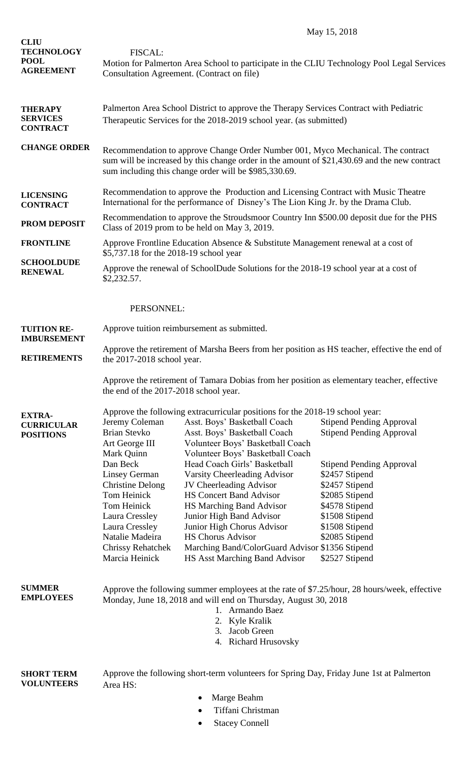May 15, 2018

|                                                                     |                                                                                                                                                                                                                                                                         |                                                                                                                                                                                                                                                                                                                                                                                                                                                                                                                                                                | $May$ 19, $2010$                                                                                                                                                                                                                                      |  |
|---------------------------------------------------------------------|-------------------------------------------------------------------------------------------------------------------------------------------------------------------------------------------------------------------------------------------------------------------------|----------------------------------------------------------------------------------------------------------------------------------------------------------------------------------------------------------------------------------------------------------------------------------------------------------------------------------------------------------------------------------------------------------------------------------------------------------------------------------------------------------------------------------------------------------------|-------------------------------------------------------------------------------------------------------------------------------------------------------------------------------------------------------------------------------------------------------|--|
| <b>CLIU</b><br><b>TECHNOLOGY</b><br><b>POOL</b><br><b>AGREEMENT</b> | <b>FISCAL:</b><br>Motion for Palmerton Area School to participate in the CLIU Technology Pool Legal Services<br>Consultation Agreement. (Contract on file)                                                                                                              |                                                                                                                                                                                                                                                                                                                                                                                                                                                                                                                                                                |                                                                                                                                                                                                                                                       |  |
| <b>THERAPY</b><br><b>SERVICES</b><br><b>CONTRACT</b>                | Palmerton Area School District to approve the Therapy Services Contract with Pediatric<br>Therapeutic Services for the 2018-2019 school year. (as submitted)                                                                                                            |                                                                                                                                                                                                                                                                                                                                                                                                                                                                                                                                                                |                                                                                                                                                                                                                                                       |  |
| <b>CHANGE ORDER</b>                                                 | Recommendation to approve Change Order Number 001, Myco Mechanical. The contract<br>sum will be increased by this change order in the amount of \$21,430.69 and the new contract<br>sum including this change order will be \$985,330.69.                               |                                                                                                                                                                                                                                                                                                                                                                                                                                                                                                                                                                |                                                                                                                                                                                                                                                       |  |
| <b>LICENSING</b><br><b>CONTRACT</b>                                 | Recommendation to approve the Production and Licensing Contract with Music Theatre<br>International for the performance of Disney's The Lion King Jr. by the Drama Club.                                                                                                |                                                                                                                                                                                                                                                                                                                                                                                                                                                                                                                                                                |                                                                                                                                                                                                                                                       |  |
| <b>PROM DEPOSIT</b>                                                 | Recommendation to approve the Stroudsmoor Country Inn \$500.00 deposit due for the PHS<br>Class of 2019 prom to be held on May 3, 2019.                                                                                                                                 |                                                                                                                                                                                                                                                                                                                                                                                                                                                                                                                                                                |                                                                                                                                                                                                                                                       |  |
| <b>FRONTLINE</b>                                                    | Approve Frontline Education Absence & Substitute Management renewal at a cost of<br>\$5,737.18 for the 2018-19 school year<br>Approve the renewal of SchoolDude Solutions for the 2018-19 school year at a cost of<br>\$2,232.57.                                       |                                                                                                                                                                                                                                                                                                                                                                                                                                                                                                                                                                |                                                                                                                                                                                                                                                       |  |
| <b>SCHOOLDUDE</b><br><b>RENEWAL</b>                                 |                                                                                                                                                                                                                                                                         |                                                                                                                                                                                                                                                                                                                                                                                                                                                                                                                                                                |                                                                                                                                                                                                                                                       |  |
|                                                                     | PERSONNEL:                                                                                                                                                                                                                                                              |                                                                                                                                                                                                                                                                                                                                                                                                                                                                                                                                                                |                                                                                                                                                                                                                                                       |  |
| <b>TUITION RE-</b><br><b>IMBURSEMENT</b>                            | Approve tuition reimbursement as submitted.                                                                                                                                                                                                                             |                                                                                                                                                                                                                                                                                                                                                                                                                                                                                                                                                                |                                                                                                                                                                                                                                                       |  |
| <b>RETIREMENTS</b>                                                  | Approve the retirement of Marsha Beers from her position as HS teacher, effective the end of<br>the 2017-2018 school year.                                                                                                                                              |                                                                                                                                                                                                                                                                                                                                                                                                                                                                                                                                                                |                                                                                                                                                                                                                                                       |  |
|                                                                     | the end of the 2017-2018 school year.                                                                                                                                                                                                                                   | Approve the retirement of Tamara Dobias from her position as elementary teacher, effective                                                                                                                                                                                                                                                                                                                                                                                                                                                                     |                                                                                                                                                                                                                                                       |  |
| <b>EXTRA-</b><br><b>CURRICULAR</b><br><b>POSITIONS</b>              | Jeremy Coleman<br><b>Brian Stevko</b><br>Art George III<br>Mark Quinn<br>Dan Beck<br><b>Linsey German</b><br><b>Christine Delong</b><br>Tom Heinick<br>Tom Heinick<br>Laura Cressley<br>Laura Cressley<br>Natalie Madeira<br><b>Chrissy Rehatchek</b><br>Marcia Heinick | Approve the following extracurricular positions for the 2018-19 school year:<br>Asst. Boys' Basketball Coach<br>Asst. Boys' Basketball Coach<br>Volunteer Boys' Basketball Coach<br>Volunteer Boys' Basketball Coach<br>Head Coach Girls' Basketball<br>Varsity Cheerleading Advisor<br><b>JV Cheerleading Advisor</b><br><b>HS Concert Band Advisor</b><br>HS Marching Band Advisor<br>Junior High Band Advisor<br>Junior High Chorus Advisor<br><b>HS Chorus Advisor</b><br>Marching Band/ColorGuard Advisor \$1356 Stipend<br>HS Asst Marching Band Advisor | <b>Stipend Pending Approval</b><br><b>Stipend Pending Approval</b><br><b>Stipend Pending Approval</b><br>\$2457 Stipend<br>\$2457 Stipend<br>\$2085 Stipend<br>\$4578 Stipend<br>\$1508 Stipend<br>\$1508 Stipend<br>\$2085 Stipend<br>\$2527 Stipend |  |
| <b>SUMMER</b><br><b>EMPLOYEES</b>                                   | Approve the following summer employees at the rate of \$7.25/hour, 28 hours/week, effective<br>Monday, June 18, 2018 and will end on Thursday, August 30, 2018<br>Armando Baez<br>1.<br>2. Kyle Kralik<br>3. Jacob Green<br>4. Richard Hrusovsky                        |                                                                                                                                                                                                                                                                                                                                                                                                                                                                                                                                                                |                                                                                                                                                                                                                                                       |  |
| <b>SHORT TERM</b><br><b>VOLUNTEERS</b>                              | Area HS:                                                                                                                                                                                                                                                                | Approve the following short-term volunteers for Spring Day, Friday June 1st at Palmerton<br>Marge Beahm<br>Tiffani Christman                                                                                                                                                                                                                                                                                                                                                                                                                                   |                                                                                                                                                                                                                                                       |  |

• Stacey Connell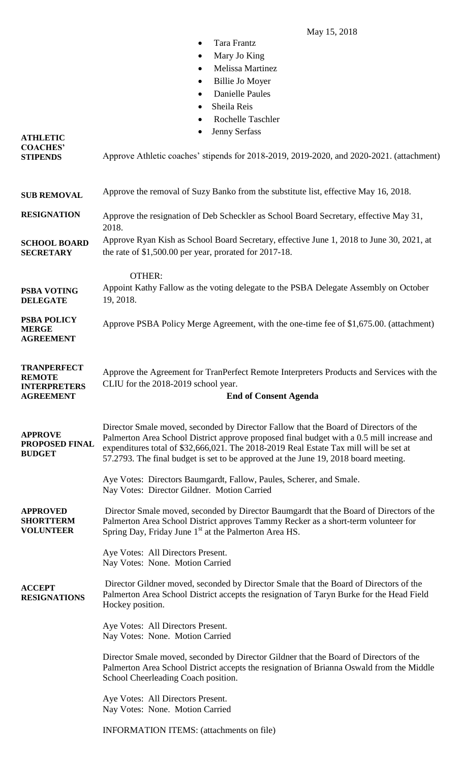May 15, 2018

- Tara Frantz
- Mary Jo King
- Melissa Martinez
- Billie Jo Moyer
- Danielle Paules
- Sheila Reis
- Rochelle Taschler
- **•** Jenny Serfass

| <b>ATHLETIC</b>                                                                | JULII SULLASS                                                                                                                                                                                                                                                                                                                                                     |
|--------------------------------------------------------------------------------|-------------------------------------------------------------------------------------------------------------------------------------------------------------------------------------------------------------------------------------------------------------------------------------------------------------------------------------------------------------------|
| <b>COACHES'</b><br><b>STIPENDS</b>                                             | Approve Athletic coaches' stipends for 2018-2019, 2019-2020, and 2020-2021. (attachment)                                                                                                                                                                                                                                                                          |
| <b>SUB REMOVAL</b>                                                             | Approve the removal of Suzy Banko from the substitute list, effective May 16, 2018.                                                                                                                                                                                                                                                                               |
| <b>RESIGNATION</b>                                                             | Approve the resignation of Deb Scheckler as School Board Secretary, effective May 31,<br>2018.                                                                                                                                                                                                                                                                    |
| <b>SCHOOL BOARD</b><br><b>SECRETARY</b>                                        | Approve Ryan Kish as School Board Secretary, effective June 1, 2018 to June 30, 2021, at<br>the rate of $$1,500.00$ per year, prorated for 2017-18.                                                                                                                                                                                                               |
|                                                                                |                                                                                                                                                                                                                                                                                                                                                                   |
| <b>PSBA VOTING</b><br><b>DELEGATE</b>                                          | <b>OTHER:</b><br>Appoint Kathy Fallow as the voting delegate to the PSBA Delegate Assembly on October<br>19, 2018.                                                                                                                                                                                                                                                |
| PSBA POLICY<br><b>MERGE</b><br><b>AGREEMENT</b>                                | Approve PSBA Policy Merge Agreement, with the one-time fee of \$1,675.00. (attachment)                                                                                                                                                                                                                                                                            |
| <b>TRANPERFECT</b><br><b>REMOTE</b><br><b>INTERPRETERS</b><br><b>AGREEMENT</b> | Approve the Agreement for TranPerfect Remote Interpreters Products and Services with the<br>CLIU for the 2018-2019 school year.<br><b>End of Consent Agenda</b>                                                                                                                                                                                                   |
| <b>APPROVE</b><br>PROPOSED FINAL<br><b>BUDGET</b>                              | Director Smale moved, seconded by Director Fallow that the Board of Directors of the<br>Palmerton Area School District approve proposed final budget with a 0.5 mill increase and<br>expenditures total of \$32,666,021. The 2018-2019 Real Estate Tax mill will be set at<br>57.2793. The final budget is set to be approved at the June 19, 2018 board meeting. |
|                                                                                | Aye Votes: Directors Baumgardt, Fallow, Paules, Scherer, and Smale.<br>Nay Votes: Director Gildner. Motion Carried                                                                                                                                                                                                                                                |
| <b>APPROVED</b><br><b>SHORTTERM</b><br><b>VOLUNTEER</b>                        | Director Smale moved, seconded by Director Baumgardt that the Board of Directors of the<br>Palmerton Area School District approves Tammy Recker as a short-term volunteer for<br>Spring Day, Friday June 1 <sup>st</sup> at the Palmerton Area HS.                                                                                                                |
|                                                                                | Aye Votes: All Directors Present.<br>Nay Votes: None. Motion Carried                                                                                                                                                                                                                                                                                              |
| <b>ACCEPT</b><br><b>RESIGNATIONS</b>                                           | Director Gildner moved, seconded by Director Smale that the Board of Directors of the<br>Palmerton Area School District accepts the resignation of Taryn Burke for the Head Field<br>Hockey position.                                                                                                                                                             |
|                                                                                | Aye Votes: All Directors Present.<br>Nay Votes: None. Motion Carried                                                                                                                                                                                                                                                                                              |
|                                                                                | Director Smale moved, seconded by Director Gildner that the Board of Directors of the<br>Palmerton Area School District accepts the resignation of Brianna Oswald from the Middle<br>School Cheerleading Coach position.                                                                                                                                          |
|                                                                                | Aye Votes: All Directors Present.<br>Nay Votes: None. Motion Carried                                                                                                                                                                                                                                                                                              |
|                                                                                | <b>INFORMATION ITEMS:</b> (attachments on file)                                                                                                                                                                                                                                                                                                                   |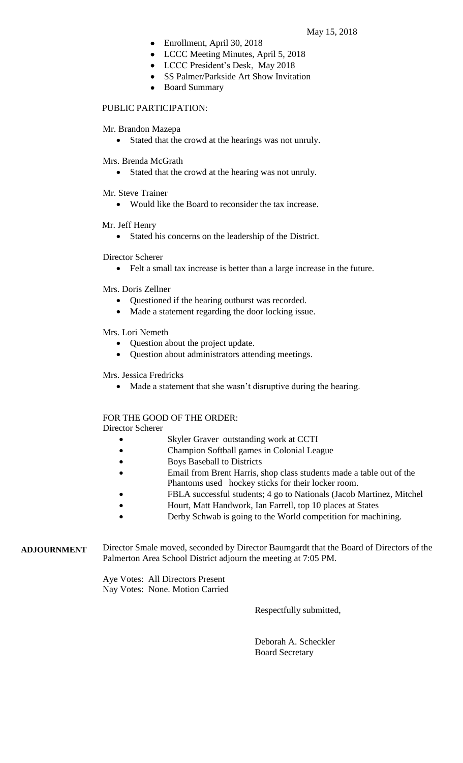- Enrollment, April 30, 2018
- LCCC Meeting Minutes, April 5, 2018
- LCCC President's Desk, May 2018
- SS Palmer/Parkside Art Show Invitation
- Board Summary

#### PUBLIC PARTICIPATION:

Mr. Brandon Mazepa

Stated that the crowd at the hearings was not unruly.

Mrs. Brenda McGrath

• Stated that the crowd at the hearing was not unruly.

Mr. Steve Trainer

Would like the Board to reconsider the tax increase.

Mr. Jeff Henry

Stated his concerns on the leadership of the District.

Director Scherer

Felt a small tax increase is better than a large increase in the future.

Mrs. Doris Zellner

- Questioned if the hearing outburst was recorded.
- Made a statement regarding the door locking issue.

Mrs. Lori Nemeth

- Question about the project update.
- Question about administrators attending meetings.

Mrs. Jessica Fredricks

• Made a statement that she wasn't disruptive during the hearing.

FOR THE GOOD OF THE ORDER: Director Scherer

- Skyler Graver outstanding work at CCTI
- Champion Softball games in Colonial League
- Boys Baseball to Districts
- Email from Brent Harris, shop class students made a table out of the Phantoms used hockey sticks for their locker room.
- FBLA successful students; 4 go to Nationals (Jacob Martinez, Mitchel
- Hourt, Matt Handwork, Ian Farrell, top 10 places at States
- Derby Schwab is going to the World competition for machining.

**ADJOURNMENT** Director Smale moved, seconded by Director Baumgardt that the Board of Directors of the Palmerton Area School District adjourn the meeting at 7:05 PM.

> Aye Votes: All Directors Present Nay Votes: None. Motion Carried

> > Respectfully submitted,

 Deborah A. Scheckler Board Secretary